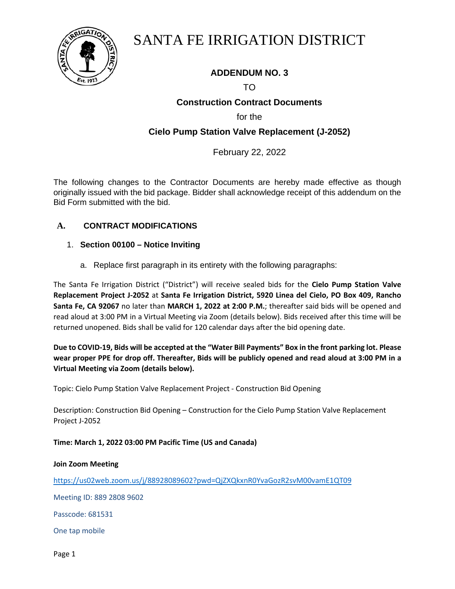

## SANTA FE IRRIGATION DISTRICT

## **ADDENDUM NO. 3**

## TO

## **Construction Contract Documents**

for the

## **Cielo Pump Station Valve Replacement (J-2052)**

### February 22, 2022

The following changes to the Contractor Documents are hereby made effective as though originally issued with the bid package. Bidder shall acknowledge receipt of this addendum on the Bid Form submitted with the bid.

#### **A. CONTRACT MODIFICATIONS**

- 1. **Section 00100 – Notice Inviting**
	- a. Replace first paragraph in its entirety with the following paragraphs:

The Santa Fe Irrigation District ("District") will receive sealed bids for the **Cielo Pump Station Valve Replacement Project J-2052** at **Santa Fe Irrigation District, 5920 Linea del Cielo, PO Box 409, Rancho Santa Fe, CA 92067** no later than **MARCH 1, 2022 at 2:00 P.M.**; thereafter said bids will be opened and read aloud at 3:00 PM in a Virtual Meeting via Zoom (details below). Bids received after this time will be returned unopened. Bids shall be valid for 120 calendar days after the bid opening date.

**Due to COVID-19, Bids will be accepted at the "Water Bill Payments" Box in the front parking lot. Please wear proper PPE for drop off. Thereafter, Bids will be publicly opened and read aloud at 3:00 PM in a Virtual Meeting via Zoom (details below).** 

Topic: Cielo Pump Station Valve Replacement Project - Construction Bid Opening

Description: Construction Bid Opening – Construction for the Cielo Pump Station Valve Replacement Project J-2052

#### **Time: March 1, 2022 03:00 PM Pacific Time (US and Canada)**

#### **Join Zoom Meeting**

<https://us02web.zoom.us/j/88928089602?pwd=QjZXQkxnR0YvaGozR2svM00vamE1QT09>

Meeting ID: 889 2808 9602

Passcode: 681531

One tap mobile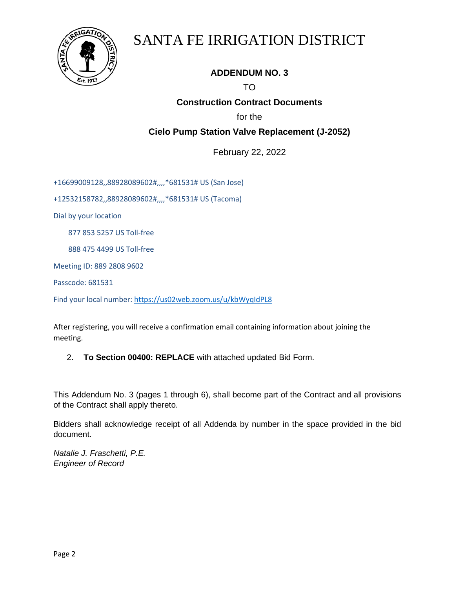

# SANTA FE IRRIGATION DISTRICT

## **ADDENDUM NO. 3**

## TO

## **Construction Contract Documents**

for the

## **Cielo Pump Station Valve Replacement (J-2052)**

February 22, 2022

+16699009128,,88928089602#,,,,\*681531# US (San Jose)

+12532158782,,88928089602#,,,,\*681531# US (Tacoma)

Dial by your location

877 853 5257 US Toll-free

888 475 4499 US Toll-free

Meeting ID: 889 2808 9602

Passcode: 681531

Find your local number[: https://us02web.zoom.us/u/kbWyqIdPL8](https://us02web.zoom.us/u/kbWyqIdPL8)

After registering, you will receive a confirmation email containing information about joining the meeting.

2. **To Section 00400: REPLACE** with attached updated Bid Form.

This Addendum No. 3 (pages 1 through 6), shall become part of the Contract and all provisions of the Contract shall apply thereto.

Bidders shall acknowledge receipt of all Addenda by number in the space provided in the bid document.

*Natalie J. Fraschetti, P.E. Engineer of Record*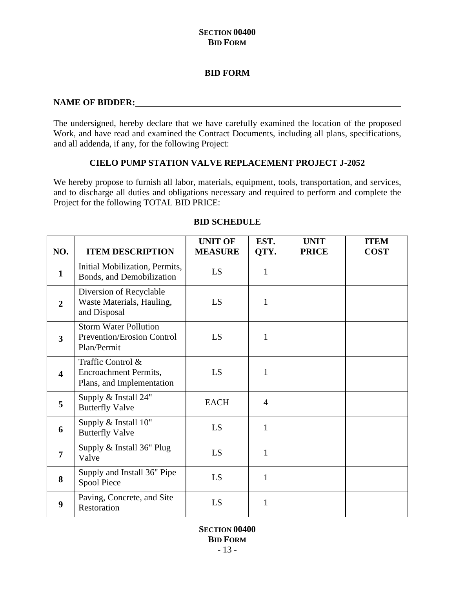#### **BID FORM**

#### **NAME OF BIDDER:**

The undersigned, hereby declare that we have carefully examined the location of the proposed Work, and have read and examined the Contract Documents, including all plans, specifications, and all addenda, if any, for the following Project:

#### **CIELO PUMP STATION VALVE REPLACEMENT PROJECT J-2052**

We hereby propose to furnish all labor, materials, equipment, tools, transportation, and services, and to discharge all duties and obligations necessary and required to perform and complete the Project for the following TOTAL BID PRICE:

| NO.              | <b>ITEM DESCRIPTION</b>                                                          | <b>UNIT OF</b><br><b>MEASURE</b> | EST.<br>QTY.   | <b>UNIT</b><br><b>PRICE</b> | <b>ITEM</b><br><b>COST</b> |
|------------------|----------------------------------------------------------------------------------|----------------------------------|----------------|-----------------------------|----------------------------|
| $\mathbf{1}$     | Initial Mobilization, Permits,<br>Bonds, and Demobilization                      | LS                               | $\mathbf{1}$   |                             |                            |
| $\overline{2}$   | Diversion of Recyclable<br>Waste Materials, Hauling,<br>and Disposal             | LS                               | $\mathbf{1}$   |                             |                            |
| 3                | <b>Storm Water Pollution</b><br><b>Prevention/Erosion Control</b><br>Plan/Permit | LS                               | 1              |                             |                            |
| $\boldsymbol{4}$ | Traffic Control &<br><b>Encroachment Permits,</b><br>Plans, and Implementation   | LS                               | 1              |                             |                            |
| 5                | Supply & Install 24"<br><b>Butterfly Valve</b>                                   | <b>EACH</b>                      | $\overline{4}$ |                             |                            |
| 6                | Supply & Install 10"<br><b>Butterfly Valve</b>                                   | LS                               | $\mathbf{1}$   |                             |                            |
| $\overline{7}$   | Supply & Install 36" Plug<br>Valve                                               | LS                               | $\mathbf{1}$   |                             |                            |
| 8                | Supply and Install 36" Pipe<br>Spool Piece                                       | LS                               | 1              |                             |                            |
| 9                | Paving, Concrete, and Site<br>Restoration                                        | LS                               | $\mathbf{1}$   |                             |                            |

#### **BID SCHEDULE**

**SECTION 00400 BID FORM**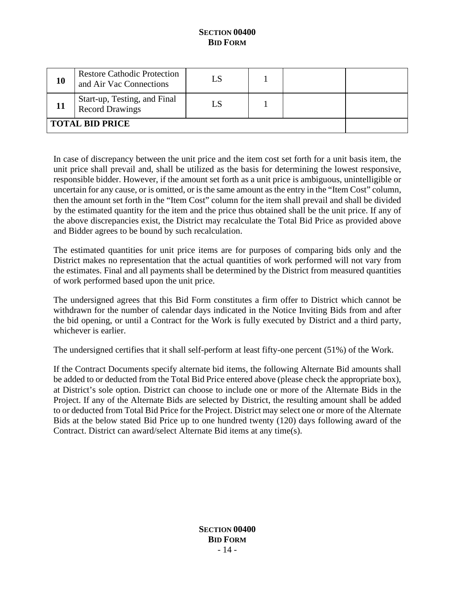| 10 | <b>Restore Cathodic Protection</b><br>and Air Vac Connections |  |  |  |  |
|----|---------------------------------------------------------------|--|--|--|--|
|    | Start-up, Testing, and Final<br>Record Drawings               |  |  |  |  |
|    | <b>TOTAL BID PRICE</b>                                        |  |  |  |  |

In case of discrepancy between the unit price and the item cost set forth for a unit basis item, the unit price shall prevail and, shall be utilized as the basis for determining the lowest responsive, responsible bidder. However, if the amount set forth as a unit price is ambiguous, unintelligible or uncertain for any cause, or is omitted, or is the same amount as the entry in the "Item Cost" column, then the amount set forth in the "Item Cost" column for the item shall prevail and shall be divided by the estimated quantity for the item and the price thus obtained shall be the unit price. If any of the above discrepancies exist, the District may recalculate the Total Bid Price as provided above and Bidder agrees to be bound by such recalculation.

The estimated quantities for unit price items are for purposes of comparing bids only and the District makes no representation that the actual quantities of work performed will not vary from the estimates. Final and all payments shall be determined by the District from measured quantities of work performed based upon the unit price.

The undersigned agrees that this Bid Form constitutes a firm offer to District which cannot be withdrawn for the number of calendar days indicated in the Notice Inviting Bids from and after the bid opening, or until a Contract for the Work is fully executed by District and a third party, whichever is earlier.

The undersigned certifies that it shall self-perform at least fifty-one percent (51%) of the Work.

If the Contract Documents specify alternate bid items, the following Alternate Bid amounts shall be added to or deducted from the Total Bid Price entered above (please check the appropriate box), at District's sole option. District can choose to include one or more of the Alternate Bids in the Project. If any of the Alternate Bids are selected by District, the resulting amount shall be added to or deducted from Total Bid Price for the Project. District may select one or more of the Alternate Bids at the below stated Bid Price up to one hundred twenty (120) days following award of the Contract. District can award/select Alternate Bid items at any time(s).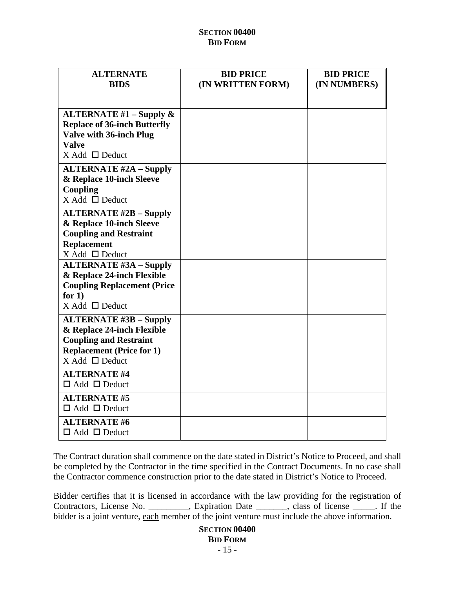| <b>ALTERNATE</b>                                                  | <b>BID PRICE</b>  | <b>BID PRICE</b> |
|-------------------------------------------------------------------|-------------------|------------------|
| <b>BIDS</b>                                                       | (IN WRITTEN FORM) | (IN NUMBERS)     |
|                                                                   |                   |                  |
|                                                                   |                   |                  |
| ALTERNATE $#1$ – Supply &<br><b>Replace of 36-inch Butterfly</b>  |                   |                  |
| <b>Valve with 36-inch Plug</b>                                    |                   |                  |
| <b>Valve</b>                                                      |                   |                  |
| $X$ Add $\Box$ Deduct                                             |                   |                  |
| <b>ALTERNATE #2A – Supply</b>                                     |                   |                  |
| & Replace 10-inch Sleeve                                          |                   |                  |
| Coupling                                                          |                   |                  |
| $X$ Add $\Box$ Deduct                                             |                   |                  |
| <b>ALTERNATE #2B - Supply</b>                                     |                   |                  |
| & Replace 10-inch Sleeve                                          |                   |                  |
| <b>Coupling and Restraint</b>                                     |                   |                  |
| <b>Replacement</b>                                                |                   |                  |
| $X$ Add $\Box$ Deduct                                             |                   |                  |
| <b>ALTERNATE #3A - Supply</b>                                     |                   |                  |
| & Replace 24-inch Flexible                                        |                   |                  |
| <b>Coupling Replacement (Price</b>                                |                   |                  |
| for $1)$<br>$X$ Add $\Box$ Deduct                                 |                   |                  |
|                                                                   |                   |                  |
| <b>ALTERNATE #3B – Supply</b>                                     |                   |                  |
| & Replace 24-inch Flexible                                        |                   |                  |
| <b>Coupling and Restraint</b><br><b>Replacement (Price for 1)</b> |                   |                  |
| $X$ Add $\Box$ Deduct                                             |                   |                  |
| <b>ALTERNATE #4</b>                                               |                   |                  |
| $\Box$ Add $\Box$ Deduct                                          |                   |                  |
| <b>ALTERNATE #5</b>                                               |                   |                  |
| $\Box$ Add $\Box$ Deduct                                          |                   |                  |
| <b>ALTERNATE #6</b>                                               |                   |                  |
| $\Box$ Add $\Box$ Deduct                                          |                   |                  |

The Contract duration shall commence on the date stated in District's Notice to Proceed, and shall be completed by the Contractor in the time specified in the Contract Documents. In no case shall the Contractor commence construction prior to the date stated in District's Notice to Proceed.

Bidder certifies that it is licensed in accordance with the law providing for the registration of Contractors, License No. \_\_\_\_\_\_\_\_\_, Expiration Date \_\_\_\_\_\_\_, class of license \_\_\_\_\_. If the bidder is a joint venture, each member of the joint venture must include the above information.